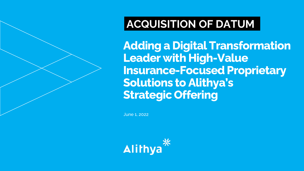### **ACQUISITION OF DATUM**

**Adding a Digital Transformation Leader with High-Value Insurance-Focused Proprietary Solutions to Alithya's Strategic Offering**

June 1, 2022

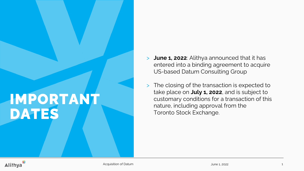# **IMPORTANT DATES**

- > **June 1, 2022**: Alithya announced that it has entered into a binding agreement to acquire US-based Datum Consulting Group
- > The closing of the transaction is expected to take place on **July 1, 2022**, and is subject to customary conditions for a transaction of this nature, including approval from the Toronto Stock Exchange.

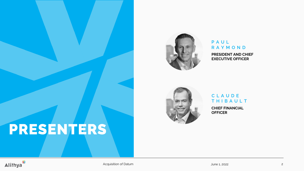



#### **P A U L R A Y M O N D PRESIDENT AND CHIEF EXECUTIVE OFFICER**



#### **C L A U D E T H I B A U L T**

**CHIEF FINANCIAL OFFICER**

## **PRESENTERS**



Acquisition of Datum 2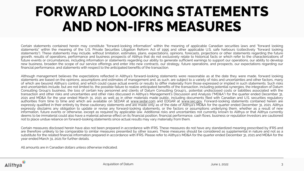## **FORWARD LOOKING STATEMENTS AND NON-IFRS MEASURES**

Certain statements contained herein may constitute "forward-looking information" within the meaning of applicable Canadian securities laws and "forward looking statements" within the meaning of the U.S. Private Securities Litigation Reform Act of 1995 and other applicable U.S. safe harbours (collectively "forward looking statements"). These statements may include, without limitation, estimates, plans, expectations, opinions, forecasts, projections or other statements regarding the future growth, results of operations, performance and business prospects of Alithya that do not exclusively relate to historical facts or which refer to the characterizations of future events or circumstances, including information or statements regarding our ability to generate sufficient earnings to support our operations, our ability to develop new business, broaden the scope of our service offerings and enter into new contracts, our strategy, future operations, and prospects, our expectations regarding our financial performance, and statements with respect to the anticipated benefits of the transaction.

Although management believes the expectations reflected in Alithya's forward-looking statements were reasonable as at the date they were made, forward looking statements are based on the opinions, assumptions and estimates of management and, as such, are subject to a variety of risks and uncertainties and other factors, many of which are bevond Alithya's control, and which could cause actual events or results to differ materially from those expressed or implied in such statements. Such risks and uncertainties include, but are not limited to, the possible failure to realize anticipated benefits of the transaction, including potential synergies, the integration of Datum Consulting Group's business, the loss of certain key personnel and clients of Datum Consulting Group's,, potential undisclosed costs or liabilities associated with the transaction and other risks and uncertainties and other risks discussed in Alithya's Management's Discussion and Analysis ("MD&A") for the quarter ended December 31, 2021 and MD&A for the year ended March 31, 2021 as well as in other materials made public, including documents filed with Canadian and U.S. securities regulatory authorities from time to time and which are available on SEDAR at [www.sedar.com](http://www.sedar.com) and EDGAR at [www.sec.gov](http://www.sec.gov). Forward-looking statements contained herein are expressly qualified in their entirety by these cautionary statements and are made only as of the date of Alithya's MD&A for the quarter ended December 31, 2021. Alithya expressly disclaims any obligation to update or revise any forward-looking statements, or the factors or assumptions underlying them, whether as a result of new information, future events or otherwise, except as required by applicable law. Additional risks and uncertainties not currently known to Alithya or that Alithya currently deems to be immaterial could also have a material adverse effect on its financial position, financial performance, cash flows, business or reputation Investors are cautioned not to place undue reliance on forward-looking statements since actual results may vary materially from them.

Certain measures disclosed herein have also not been prepared in accordance with IFRS. These measures do not have any standardized meaning prescribed by IFRS and are therefore unlikely to be comparable to similar measures presented by other issuers. These measures should be considered as supplemental in nature and not as a substitute for the related financial information prepared in accordance with IFRS. Please refer to Alithya's MD&A for the quarter ended December 31, 2021 and MD&A for the year ended March 31, 2021 for further details.

All amounts are in Canadian dollars unless otherwise indicated.

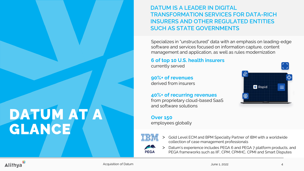### **DATUM IS A LEADER IN DIGITAL TRANSFORMATION SERVICES FOR DATA-RICH INSURERS AND OTHER REGULATED ENTITIES SUCH AS STATE GOVERNMENTS**

Specializes in "unstructured" data with an emphasis on leading-edge software and services focused on information capture, content management and application, as well as rules modernization

#### **6 of top 10 U.S. health insurers**

currently served

### **90%+ of revenues**

derived from insurers

#### **40%+ of recurring revenues**

from proprietary cloud-based SaaS and software solutions

### **Over 150**

employees globally



**PEGA** 

- > Gold Level ECM and BPM Specialty Partner of IBM with a worldwide collection of case management professionals
- Datum's experience includes PEGA 6 and PEGA 7 platform products, and PEGA frameworks such as IIF, CPM, CPMHC, CPMI and Smart Disputes



**DATUM AT A** 

**GLANCE**

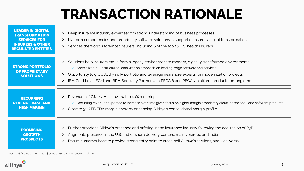# **TRANSACTION RATIONALE**

| <b>LEADER IN DIGITAL</b><br><b>TRANSFORMATION</b><br><b>SERVICES FOR</b><br><b>INSURERS &amp; OTHER</b><br><b>REGULATED ENTITIES</b> | Deep insurance industry expertise with strong understanding of business processes<br>ゝ<br>Platform competencies and proprietary software solutions in support of insurers' digital transformations<br>$\geq$<br>Services the world's foremost insurers, including 6 of the top 10 U.S. health insurers<br>$\geq$                                                                                                                            |
|--------------------------------------------------------------------------------------------------------------------------------------|---------------------------------------------------------------------------------------------------------------------------------------------------------------------------------------------------------------------------------------------------------------------------------------------------------------------------------------------------------------------------------------------------------------------------------------------|
| <b>STRONG PORTFOLIO</b><br><b>OF PROPRIETARY</b><br><b>SOLUTIONS</b>                                                                 | Solutions help insurers move from a legacy environment to modern, digitally transformed environments<br>ゝ<br>> Specializes in "unstructured" data with an emphasis on leading-edge software and services<br>Opportunity to grow Alithya's IP portfolio and leverage nearshore experts for modernization projects<br>$\geq$<br>IBM Gold Level ECM and BPM Specialty Partner with PEGA 6 and PEGA 7 platform products, among others<br>$\geq$ |
| <b>RECURRING</b><br><b>REVENUE BASE AND</b><br><b>HIGH MARGIN</b>                                                                    | Revenues of C\$22.7 M in 2021, with >40% recurring<br>$\geq$<br>> Recurring revenues expected to increase over time given focus on higher margin proprietary cloud-based SaaS and software products<br>Close to 32% EBITDA margin, thereby enhancing Alithya's consolidated margin profile<br>$\geq$                                                                                                                                        |
| <b>PROMISING</b><br><b>GROWTH</b><br><b>PROSPECTS</b>                                                                                | Further broadens Alithya's presence and offering in the insurance industry following the acquisition of R3D<br>><br>Augments presence in the U.S. and offshore delivery centers, mainly Europe and India<br>><br>Datum customer base to provide strong entry point to cross-sell Alithya's services, and vice-versa<br>ゝ                                                                                                                    |

Note: US\$ figures converted to C\$ using a USD:CAD exchange rate of 1.26.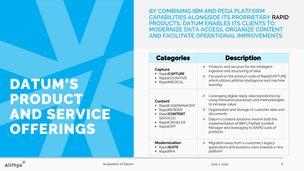**BY COMBINING IBM AND PEGA PLATFORM CAPABILITIES ALONGSIDE ITS PROPRIETARY RAPID PRODUCTS, DATUM ENABLES ITS CLIENTS TO MODERNIZE DATA ACCESS, ORGANIZE CONTENT AND FACILITATE OPERATIONAL IMPROVEMENTS**

# **DATUM'S PRODUCT AND SERVICE OFFERINGS**

| <b>Categories</b>                                                                                                          | <b>Description</b>                                                                                                                                                                                                                                                                                                                                                                     |  |  |
|----------------------------------------------------------------------------------------------------------------------------|----------------------------------------------------------------------------------------------------------------------------------------------------------------------------------------------------------------------------------------------------------------------------------------------------------------------------------------------------------------------------------------|--|--|
| Capture<br><b>RapidCAPTURE</b><br>RapidCOGNITIVE<br>RapidMEDICAL                                                           | Products and services for the intelligent<br>$\geq$<br>ingestion and structuring of data<br>Focused on the product suite of RapidCAPTURE<br>$\geq$<br>which utilizes artificial intelligence and machine<br>learning                                                                                                                                                                   |  |  |
| Content<br>RapidCASEMANAGER<br>RapidRENDER<br>٠<br><b>RapidCONTENT</b><br><b>SERVICES</b><br>RapidCRAWLER<br>RapidCMT<br>٠ | Leveraging digital ready data repositories by<br>$>$ $\overline{\phantom{0}}$<br>using innovative processes and methodologies<br>to increase value<br>Organization and storage of customer data and<br>$\geq$<br>documents<br>Datum's content solutions involve both the<br>$\geq$<br>implementation of IBM's FileNet Content<br>Manager and leveraging its RAPID suite of<br>products |  |  |
| <b>Modernization</b><br>RapidSUITE<br>RapidRPA                                                                             | Migration away from a customer's legacy<br>➢<br>applications and business rules towards a new<br>platform                                                                                                                                                                                                                                                                              |  |  |

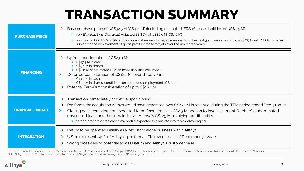## **TRANSACTION SUMMARY**

| <b>PURCHASE PRICE</b>   | Base purchase price of US\$32.5 M (C\$41.1 M) (including estimated IFRS 16 lease liabilities of US\$0.5 M)<br>ゝ<br>> 5.4x EV/2021E (31-Dec-2021) Adjusted EBITDA of US\$6.0 M (C\$7.6 M)<br>Plus up to US\$13.0 M (C\$16.4 M) in potential earn-outs payable annually on the next 3 anniversaries of closing, 75% cash / 25% in shares,<br>subject to the achievement of gross profit increase targets over the next three years                                                         |
|-------------------------|------------------------------------------------------------------------------------------------------------------------------------------------------------------------------------------------------------------------------------------------------------------------------------------------------------------------------------------------------------------------------------------------------------------------------------------------------------------------------------------|
| <b>FINANCING</b>        | Upfront consideration of C\$23.0 M:<br>$\geq$ C\$17.3 M in cash<br>C\$5.1 M in shares<br>> C\$0.6 M of estimated IFRS 16 lease liabilities assumed<br>Deferred consideration of C\$18.1 M, over three years<br>$\geq$ C <sub>13</sub> .0 M in cash<br>> C\$5.1 M in shares, conditional on continued employment of Seller<br>Potential Earn-Out consideration of up to C\$16.4 M<br>ゝ                                                                                                    |
| <b>FINANCIAL IMPACT</b> | Transaction immediately accretive upon closing<br>><br>Pro forma the acquisition Alithya would have generated over C\$470 M in revenue during the TTM period ended Dec. 31, 2021<br>Closing cash consideration expected to be financed via a C\$2.5 M add-on to Investissement Québec's subordinated<br>⋗<br>unsecured loan, and the remainder via Alithya's C\$125 M revolving credit facility<br>Strong pro forma free cash flow profile expected to translate into rapid deleveraging |
| <b>INTEGRATION</b>      | Datum to be operated initially as a new standalone business within Alithya<br>ゝ<br>U.S. to represent ~40% of Alithya's pro forma LTM revenues (as of December 31, 2021)<br>ゝ<br>Strong cross-selling potential across Datum and Alithya's customer base<br>ゝ                                                                                                                                                                                                                             |

(1) This is a non-IFRS financial measure. Please refer to the "Non-IFRS Measures" section in Alithya's MD&A for the relevant reference period for a description of such measure and a reconciliation to the closest IFRS measu Note: All figures are in C\$ millions, unless noted otherwise; US\$ figures converted to C\$ using a USD:CAD exchange rate of 1.26.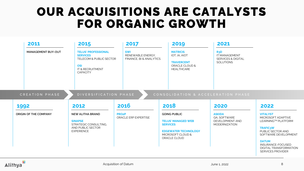### **OUR ACQUISITIONS ARE CATALYSTS FOR ORGANIC GROWTH**

| 2011                                            | 2015                                                                                                                          | 2017                                                       | 2019                                                                                                             | 2021                                                                        |                                                                                                                                                                                                            |
|-------------------------------------------------|-------------------------------------------------------------------------------------------------------------------------------|------------------------------------------------------------|------------------------------------------------------------------------------------------------------------------|-----------------------------------------------------------------------------|------------------------------------------------------------------------------------------------------------------------------------------------------------------------------------------------------------|
| MANAGEMENT BUY-OUT                              | <b>TELUS' PROFESSIONAL</b><br><b>SERVICES</b><br>TELECOM & PUBLIC SECTOR<br><b>OSI</b><br>IT & RECRUITMENT<br><b>CAPACITY</b> | <b>SWI</b><br>RENEWABLE ENERGY.<br>FINANCE, BI & ANALYTICS | <b>MATRICIS</b><br>IOT. IA. AIOT<br><b>TRAVERCENT</b><br>ORACLE CLOUD &<br><b>HEALTHCARE</b>                     | R <sub>3</sub> D<br>IT MANAGEMENT<br>SERVICES & DIGITAL<br><b>SOLUTIONS</b> |                                                                                                                                                                                                            |
| CREATION PHASE<br>1992<br>ORIGIN OF THE COMPANY | DIVERSIFICATION PHASE<br>2012<br>NEW ALITHA BRAND                                                                             | 2016<br><b>PRO2P</b>                                       | CONSOLIDATION & ACCELERATION PHASE<br>2018<br><b>GOING PUBLIC</b>                                                | 2020<br><b>ASKIDA</b>                                                       | 2022<br><b>VITALYST</b>                                                                                                                                                                                    |
|                                                 | <b>SINAPSE</b><br>STRATEGIC CONSULTING,<br>AND PUBLIC SECTOR<br><b>EXPERIENCE</b>                                             | ORACLE ERP EXPERTISE                                       | <b>TELUS' MANAGED WEB</b><br><b>SERVICES</b><br><b>EDGEWATER TECHNOLOGY</b><br>MICROSOFT CLOUD &<br>ORACLE CLOUD | QA, SOFTWARE<br>DEVELOPMENT AND<br><b>MODERNIZATION</b>                     | MICROSOFT ADAPTIVE<br>LEARNING™ PLATFORM<br><b>TRAFIC3W</b><br>PUBLIC SECTOR AND<br>SOFTWARE DEVELOPMENT<br><b>DATUM</b><br>INSURANCE-FOCUSED<br><b>DIGITAL TRANSFORMATION</b><br><b>SERVICES PROVIDER</b> |